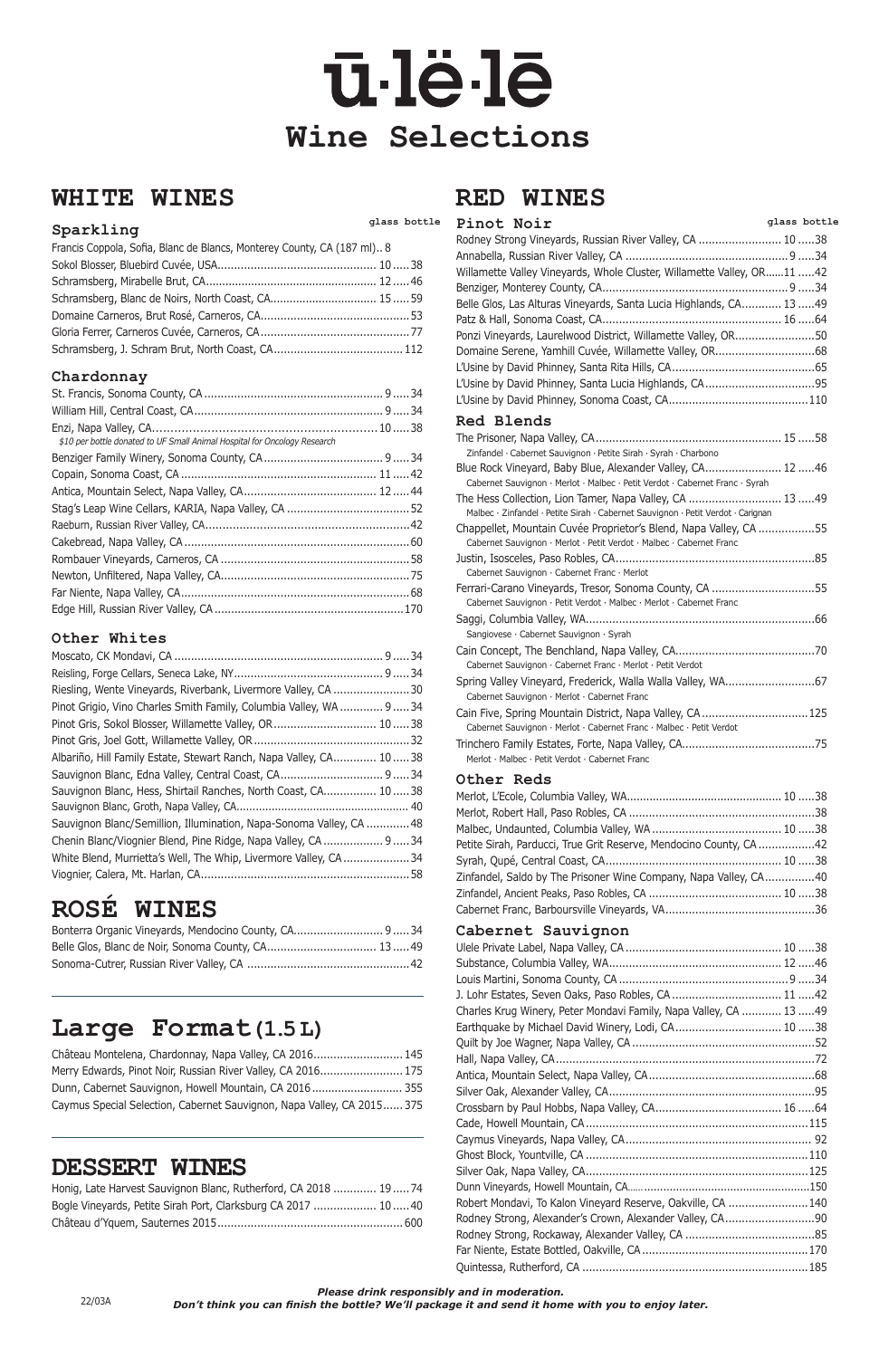### **WHITE WINES**

### **glass bottle Sparkling**

| Francis Coppola, Sofia, Blanc de Blancs, Monterey County, CA (187 ml) 8 |  |
|-------------------------------------------------------------------------|--|
|                                                                         |  |
|                                                                         |  |
|                                                                         |  |
|                                                                         |  |
|                                                                         |  |
|                                                                         |  |

#### **Chardonnay**

| \$10 per bottle donated to UF Small Animal Hospital for Oncology Research |  |
|---------------------------------------------------------------------------|--|
|                                                                           |  |
|                                                                           |  |
|                                                                           |  |
|                                                                           |  |
|                                                                           |  |
|                                                                           |  |
|                                                                           |  |
|                                                                           |  |
|                                                                           |  |
|                                                                           |  |

#### **Other Whites**

| Riesling, Wente Vineyards, Riverbank, Livermore Valley, CA 30       |  |
|---------------------------------------------------------------------|--|
| Pinot Grigio, Vino Charles Smith Family, Columbia Valley, WA  9  34 |  |
| Pinot Gris, Sokol Blosser, Willamette Valley, OR 1038               |  |
|                                                                     |  |
| Albariño, Hill Family Estate, Stewart Ranch, Napa Valley, CA 1038   |  |
| Sauvignon Blanc, Edna Valley, Central Coast, CA 9 34                |  |
| Sauvignon Blanc, Hess, Shirtail Ranches, North Coast, CA 1038       |  |
|                                                                     |  |
| Sauvignon Blanc/Semillion, Illumination, Napa-Sonoma Valley, CA 48  |  |
| Chenin Blanc/Viognier Blend, Pine Ridge, Napa Valley, CA  9  34     |  |
| White Blend, Murrietta's Well, The Whip, Livermore Valley, CA34     |  |
|                                                                     |  |
|                                                                     |  |

## **ROSÉ WINES**

| Bonterra Organic Vineyards, Mendocino County, CA 9 34 |  |
|-------------------------------------------------------|--|
| Belle Glos, Blanc de Noir, Sonoma County, CA 13 49    |  |
|                                                       |  |

### **Large Format(1.5 L)**

| Château Montelena, Chardonnay, Napa Valley, CA 2016 145                |  |
|------------------------------------------------------------------------|--|
| Merry Edwards, Pinot Noir, Russian River Valley, CA 2016 175           |  |
| Dunn, Cabernet Sauvignon, Howell Mountain, CA 2016 355                 |  |
| Caymus Special Selection, Cabernet Sauvignon, Napa Valley, CA 2015 375 |  |

### **DESSERT WINES**

| Honig, Late Harvest Sauvignon Blanc, Rutherford, CA 2018  19  74 |  |
|------------------------------------------------------------------|--|
| Bogle Vineyards, Petite Sirah Port, Clarksburg CA 2017  10 40    |  |
|                                                                  |  |

### **RED WINES**

# ū-lë-lē **Wine Selections**

| Pinot Noir                                                                                                                                  | glass bottle |
|---------------------------------------------------------------------------------------------------------------------------------------------|--------------|
| Rodney Strong Vineyards, Russian River Valley, CA  10 38                                                                                    |              |
|                                                                                                                                             |              |
| Willamette Valley Vineyards, Whole Cluster, Willamette Valley, OR11 42                                                                      |              |
|                                                                                                                                             |              |
| Belle Glos, Las Alturas Vineyards, Santa Lucia Highlands, CA 13 49                                                                          |              |
|                                                                                                                                             |              |
| Ponzi Vineyards, Laurelwood District, Willamette Valley, OR50                                                                               |              |
|                                                                                                                                             |              |
|                                                                                                                                             |              |
| L'Usine by David Phinney, Santa Lucia Highlands, CA95                                                                                       |              |
|                                                                                                                                             |              |
| <b>Red Blends</b>                                                                                                                           |              |
|                                                                                                                                             |              |
| Zinfandel · Cabernet Sauvignon · Petite Sirah · Syrah · Charbono                                                                            |              |
| Blue Rock Vineyard, Baby Blue, Alexander Valley, CA 12 46                                                                                   |              |
| Cabernet Sauvignon · Merlot · Malbec · Petit Verdot · Cabernet Franc · Syrah                                                                |              |
| The Hess Collection, Lion Tamer, Napa Valley, CA  13 49<br>Malbec · Zinfandel · Petite Sirah · Cabernet Sauvignon · Petit Verdot · Carignan |              |
| Chappellet, Mountain Cuvée Proprietor's Blend, Napa Valley, CA 55<br>Cabernet Sauvignon · Merlot · Petit Verdot · Malbec · Cabernet Franc   |              |
| Cabernet Sauvignon · Cabernet Franc · Merlot                                                                                                |              |
| Ferrari-Carano Vineyards, Tresor, Sonoma County, CA 55<br>Cabernet Sauvignon · Petit Verdot · Malbec · Merlot · Cabernet Franc              |              |
|                                                                                                                                             |              |
| Sangiovese · Cabernet Sauvignon · Syrah                                                                                                     |              |
| Cabernet Sauvignon · Cabernet Franc · Merlot · Petit Verdot                                                                                 |              |
|                                                                                                                                             |              |
| Cabernet Sauvignon · Merlot · Cabernet Franc                                                                                                |              |
| Cain Five, Spring Mountain District, Napa Valley, CA  125                                                                                   |              |
| Cabernet Sauvignon · Merlot · Cabernet Franc · Malbec · Petit Verdot                                                                        |              |
| Merlot · Malbec · Petit Verdot · Cabernet Franc                                                                                             |              |
|                                                                                                                                             |              |

#### **Other Reds**

| Petite Sirah, Parducci, True Grit Reserve, Mendocino County, CA42 |  |
|-------------------------------------------------------------------|--|
|                                                                   |  |
| Zinfandel, Saldo by The Prisoner Wine Company, Napa Valley, CA40  |  |
|                                                                   |  |
|                                                                   |  |
|                                                                   |  |

### Cabernet Sauvignon<br>Ulele Private Label Napa Valley CA

| J. Lohr Estates, Seven Oaks, Paso Robles, CA  11 42 |  |
|-----------------------------------------------------|--|

| $\sim$ collection of the contract the contract of the contract contract of the set of the set of the set of the set of the set of the set of the set of the set of the set of the set of the set of the set of the set of the s |  |
|---------------------------------------------------------------------------------------------------------------------------------------------------------------------------------------------------------------------------------|--|
| Charles Krug Winery, Peter Mondavi Family, Napa Valley, CA  13  49                                                                                                                                                              |  |
| Earthquake by Michael David Winery, Lodi, CA 10 38                                                                                                                                                                              |  |
|                                                                                                                                                                                                                                 |  |
|                                                                                                                                                                                                                                 |  |
|                                                                                                                                                                                                                                 |  |
|                                                                                                                                                                                                                                 |  |
|                                                                                                                                                                                                                                 |  |
|                                                                                                                                                                                                                                 |  |
|                                                                                                                                                                                                                                 |  |
|                                                                                                                                                                                                                                 |  |
|                                                                                                                                                                                                                                 |  |
|                                                                                                                                                                                                                                 |  |
| Robert Mondavi, To Kalon Vineyard Reserve, Oakville, CA 140                                                                                                                                                                     |  |
|                                                                                                                                                                                                                                 |  |
|                                                                                                                                                                                                                                 |  |
|                                                                                                                                                                                                                                 |  |
|                                                                                                                                                                                                                                 |  |

*Please drink responsibly and in moderation.* 

*Don't think you can finish the bottle? We'll package it and send it home with you to enjoy later.* 22/03A